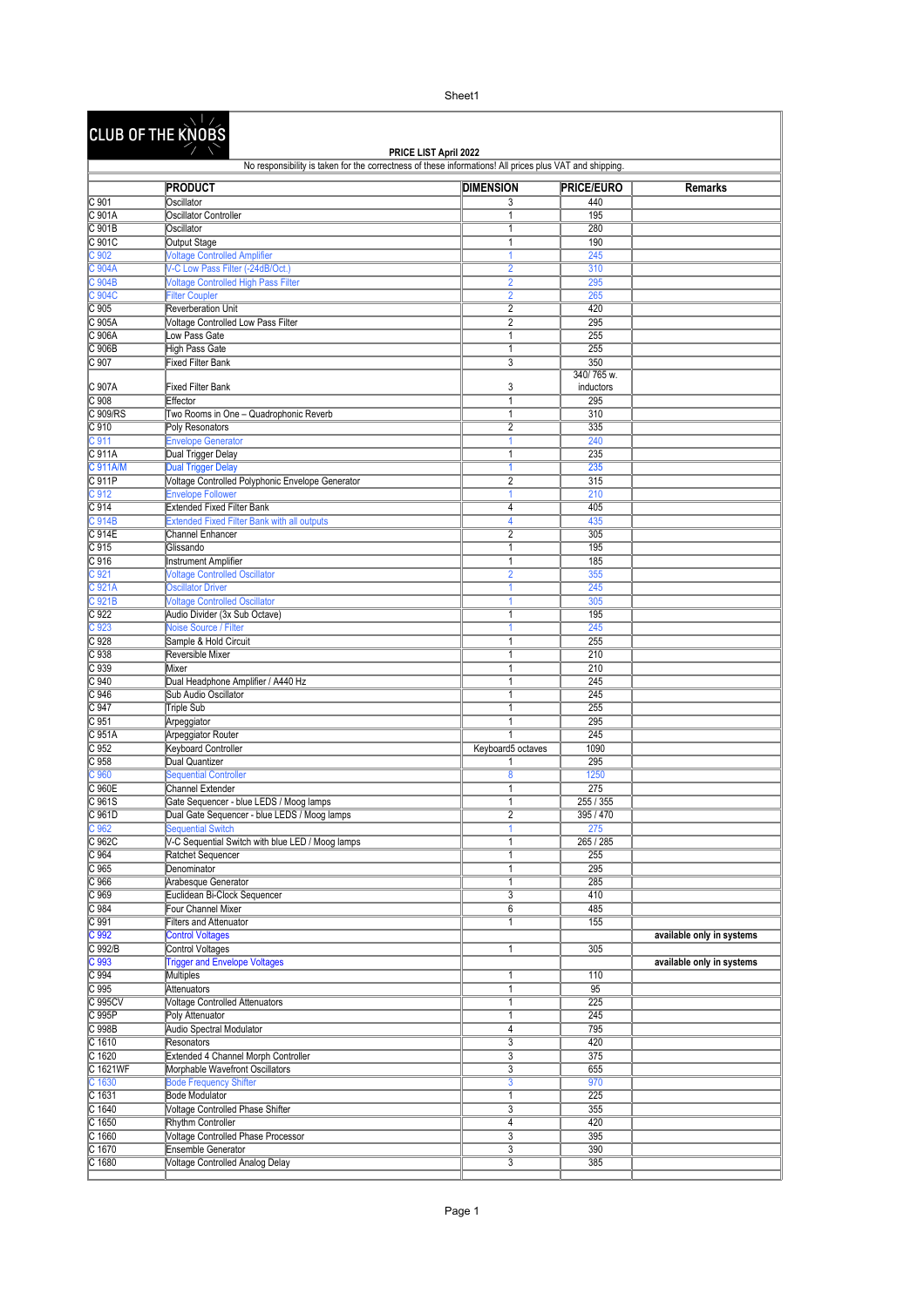## Sheet1

## CLUB OF THE  $\overrightarrow{KNOES}$

| PRICE LIST April 2022 |  |  |
|-----------------------|--|--|
|                       |  |  |

|                                         | <b>PRICE LIST April 2022</b><br>No responsibility is taken for the correctness of these informations! All prices plus VAT and shipping. |                        |                        |                           |
|-----------------------------------------|-----------------------------------------------------------------------------------------------------------------------------------------|------------------------|------------------------|---------------------------|
|                                         |                                                                                                                                         | <b>DIMENSION</b>       | <b>PRICE/EURO</b>      | <b>Remarks</b>            |
| $C$ 901                                 | PRODUCT<br>Oscillator                                                                                                                   |                        | 440                    |                           |
|                                         | Oscillator Controller                                                                                                                   | 3                      | 195                    |                           |
| C 901A<br>$C$ 901B                      | Oscillator                                                                                                                              | 1<br>1                 | 280                    |                           |
| C 901C                                  | Output Stage                                                                                                                            | 1                      | 190                    |                           |
| C <sub>902</sub>                        | <b>Voltage Controlled Amplifier</b>                                                                                                     | 1                      | 245                    |                           |
| C 904A                                  | V-C Low Pass Filter (-24dB/Oct.)                                                                                                        | $\overline{2}$         | 310                    |                           |
| C 904B                                  | <b>Voltage Controlled High Pass Filter</b>                                                                                              | $\overline{2}$         | 295                    |                           |
| C 904C                                  | <b>Filter Coupler</b>                                                                                                                   | $\overline{2}$         | 265                    |                           |
| $C$ 905                                 | <b>Reverberation Unit</b>                                                                                                               | $\overline{2}$         | 420                    |                           |
| $C$ 905A                                | Voltage Controlled Low Pass Filter                                                                                                      | $\overline{2}$         | 295                    |                           |
| C 906A                                  | Low Pass Gate                                                                                                                           | $\mathbf{1}$           | 255                    |                           |
| C 906B                                  | <b>High Pass Gate</b>                                                                                                                   | $\mathbf{1}$           | 255                    |                           |
|                                         | <b>Fixed Filter Bank</b>                                                                                                                | 3                      | 350                    |                           |
| C <sub>907</sub>                        |                                                                                                                                         |                        | 340/765 w.             |                           |
| C 907A                                  | <b>Fixed Filter Bank</b>                                                                                                                | 3                      | inductors              |                           |
| C 908                                   | Effector                                                                                                                                | 1                      | 295                    |                           |
| C 909/RS                                | Two Rooms in One - Quadrophonic Reverb                                                                                                  | $\mathbf{1}$           | 310                    |                           |
| $C_{910}$                               | Poly Resonators                                                                                                                         | 2                      | 335                    |                           |
| $C$ 911                                 | <b>Envelope Generator</b>                                                                                                               | 1                      | 240                    |                           |
| C <sub>911A</sub>                       | Dual Trigger Delay                                                                                                                      | $\mathbf{1}$           | 235                    |                           |
| $C$ 911A/M                              | <b>Dual Trigger Delay</b>                                                                                                               | 1                      | 235                    |                           |
| C <sub>911P</sub>                       | Voltage Controlled Polyphonic Envelope Generator                                                                                        | $\overline{2}$         | 315                    |                           |
| C 912                                   | <b>Envelope Follower</b>                                                                                                                | 1                      | 210                    |                           |
| $\overline{C}$ 914                      | <b>Extended Fixed Filter Bank</b>                                                                                                       | $\overline{4}$         | 405                    |                           |
| $C$ 914B                                | <b>Extended Fixed Filter Bank with all outputs</b>                                                                                      | 4                      | 435                    |                           |
| $\overline{C}$ 914E                     | <b>Channel Enhancer</b>                                                                                                                 | $\overline{2}$         | 305                    |                           |
| $C$ 915                                 | Glissando                                                                                                                               | $\mathbf{1}$           | 195                    |                           |
| $C$ 916                                 | <b>Instrument Amplifier</b>                                                                                                             | $\mathbf{1}$           | 185                    |                           |
| C <sub>921</sub>                        | <b>Voltage Controlled Oscillator</b>                                                                                                    | $\overline{2}$         | 355                    |                           |
| C 921A                                  | <b>Oscillator Driver</b>                                                                                                                | 1                      | 245                    |                           |
| C <sub>921B</sub>                       | <b>Voltage Controlled Oscillator</b>                                                                                                    | 1                      | 305                    |                           |
| C <sub>922</sub>                        | Audio Divider (3x Sub Octave)                                                                                                           | $\mathbf{1}$           | 195                    |                           |
| C <sub>923</sub>                        | Noise Source / Filter                                                                                                                   | 1                      | 245                    |                           |
| $C$ 928                                 | Sample & Hold Circuit                                                                                                                   | 1                      | 255                    |                           |
| C 938                                   | Reversible Mixer                                                                                                                        | $\mathbf{1}$           | 210                    |                           |
| $C$ 939                                 | Mixer                                                                                                                                   | $\mathbf{1}$           | 210                    |                           |
| $\overline{C}$ 940                      |                                                                                                                                         |                        | 245                    |                           |
| $C$ 946                                 | Dual Headphone Amplifier / A440 Hz                                                                                                      | 1<br>1                 |                        |                           |
|                                         | Sub Audio Oscillator                                                                                                                    | 1                      | 245<br>255             |                           |
| C <sub>947</sub><br>$\mathbb{C}$ 951    | <b>Triple Sub</b>                                                                                                                       | 1                      | 295                    |                           |
| C 951A                                  | Arpeggiator                                                                                                                             | 1                      | 245                    |                           |
| C <sub>952</sub>                        | Arpeggiator Router                                                                                                                      |                        | 1090                   |                           |
| C 958                                   | Keyboard Controller<br>Dual Quantizer                                                                                                   | Keyboard5 octaves<br>1 | 295                    |                           |
|                                         |                                                                                                                                         |                        | 1250                   |                           |
| C <sub>960</sub><br>$\overline{C}$ 960E | <b>Sequential Controller</b><br><b>Channel Extender</b>                                                                                 | 8                      |                        |                           |
|                                         |                                                                                                                                         | $\mathbf{1}$           | 275                    |                           |
| C 961S<br>C 961D                        | Gate Sequencer - blue LEDS / Moog lamps<br>Dual Gate Sequencer - blue LEDS / Moog lamps                                                 | 1<br>$\overline{2}$    | 255 / 355<br>395 / 470 |                           |
| C <sub>962</sub>                        | <b>Sequential Switch</b>                                                                                                                | $\mathbf{1}$           | 275                    |                           |
|                                         |                                                                                                                                         |                        |                        |                           |
| C 962C                                  | V-C Sequential Switch with blue LED / Moog lamps                                                                                        | 1                      | 265 / 285              |                           |
| C <sub>964</sub>                        | Ratchet Sequencer                                                                                                                       | 1                      | 255                    |                           |
| C 965                                   | Denominator                                                                                                                             | $\mathbf{1}$           | 295                    |                           |
| $C$ 966                                 | Arabesque Generator                                                                                                                     | $\mathbf{1}$           | 285                    |                           |
| $C$ 969                                 | Euclidean Bi-Clock Sequencer                                                                                                            | 3                      | 410                    |                           |
| $\overline{C984}$                       | Four Channel Mixer                                                                                                                      | $6\,$                  | 485                    |                           |
| C 991                                   | <b>Filters and Attenuator</b>                                                                                                           | $\mathbf{1}$           | 155                    |                           |
| $C$ 992                                 | <b>Control Voltages</b>                                                                                                                 |                        |                        | available only in systems |
| C 992/B                                 | <b>Control Voltages</b>                                                                                                                 | $\mathbf{1}$           | 305                    |                           |
| $C$ 993                                 | <b>Trigger and Envelope Voltages</b>                                                                                                    |                        |                        | available only in systems |
| $C$ 994                                 | Multiples                                                                                                                               | $\mathbf{1}$           | 110                    |                           |
| C 995                                   | Attenuators                                                                                                                             | $\mathbf{1}$           | 95                     |                           |
| C 995CV                                 | <b>Voltage Controlled Attenuators</b>                                                                                                   | $\mathbf{1}$           | 225                    |                           |
| C 995P                                  | Poly Attenuator                                                                                                                         | $\mathbf{1}$           | 245                    |                           |
| C 998B                                  | Audio Spectral Modulator                                                                                                                | $\overline{4}$         | 795                    |                           |
| $C$ 1610                                | <b>Resonators</b>                                                                                                                       | 3                      | 420                    |                           |
| $C$ 1620                                | Extended 4 Channel Morph Controller                                                                                                     | 3                      | 375                    |                           |
| C 1621WF                                | Morphable Wavefront Oscillators                                                                                                         | 3                      | 655                    |                           |
| $\vert$ C 1630                          | <b>Bode Frequency Shifter</b>                                                                                                           | 3                      | 970                    |                           |
| $\overline{C}$ 1631                     | <b>Bode Modulator</b>                                                                                                                   | $\mathbf{1}$           | 225                    |                           |
| $C$ 1640                                | Voltage Controlled Phase Shifter                                                                                                        | 3                      | 355                    |                           |
| C 1650                                  | Rhythm Controller                                                                                                                       | $\overline{4}$         | 420                    |                           |
| C 1660                                  | Voltage Controlled Phase Processor                                                                                                      | 3                      | 395                    |                           |
| $C$ 1670                                | <b>Ensemble Generator</b>                                                                                                               | 3                      | 390                    |                           |
| C 1680                                  | Voltage Controlled Analog Delay                                                                                                         | 3                      | 385                    |                           |
|                                         |                                                                                                                                         |                        |                        |                           |